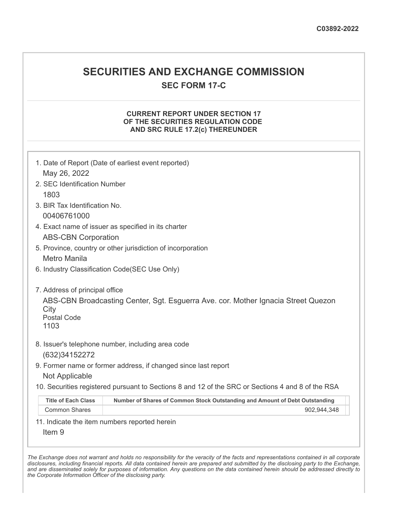# **SECURITIES AND EXCHANGE COMMISSION**

**SEC FORM 17-C**

# **CURRENT REPORT UNDER SECTION 17 OF THE SECURITIES REGULATION CODE AND SRC RULE 17.2(c) THEREUNDER**

|                                                                      | 1. Date of Report (Date of earliest event reported)                                               |  |  |  |  |  |  |  |  |  |
|----------------------------------------------------------------------|---------------------------------------------------------------------------------------------------|--|--|--|--|--|--|--|--|--|
| May 26, 2022                                                         |                                                                                                   |  |  |  |  |  |  |  |  |  |
| 2. SEC Identification Number                                         |                                                                                                   |  |  |  |  |  |  |  |  |  |
| 1803                                                                 |                                                                                                   |  |  |  |  |  |  |  |  |  |
| 3. BIR Tax Identification No.                                        |                                                                                                   |  |  |  |  |  |  |  |  |  |
| 00406761000                                                          |                                                                                                   |  |  |  |  |  |  |  |  |  |
|                                                                      | 4. Exact name of issuer as specified in its charter                                               |  |  |  |  |  |  |  |  |  |
| <b>ABS-CBN Corporation</b>                                           |                                                                                                   |  |  |  |  |  |  |  |  |  |
|                                                                      | 5. Province, country or other jurisdiction of incorporation                                       |  |  |  |  |  |  |  |  |  |
| <b>Metro Manila</b>                                                  |                                                                                                   |  |  |  |  |  |  |  |  |  |
|                                                                      | 6. Industry Classification Code(SEC Use Only)                                                     |  |  |  |  |  |  |  |  |  |
| 7. Address of principal office<br>City<br><b>Postal Code</b><br>1103 | ABS-CBN Broadcasting Center, Sgt. Esguerra Ave. cor. Mother Ignacia Street Quezon                 |  |  |  |  |  |  |  |  |  |
|                                                                      | 8. Issuer's telephone number, including area code                                                 |  |  |  |  |  |  |  |  |  |
| (632) 34152272                                                       |                                                                                                   |  |  |  |  |  |  |  |  |  |
|                                                                      | 9. Former name or former address, if changed since last report                                    |  |  |  |  |  |  |  |  |  |
| Not Applicable                                                       |                                                                                                   |  |  |  |  |  |  |  |  |  |
|                                                                      | 10. Securities registered pursuant to Sections 8 and 12 of the SRC or Sections 4 and 8 of the RSA |  |  |  |  |  |  |  |  |  |
| <b>Title of Each Class</b>                                           | Number of Shares of Common Stock Outstanding and Amount of Debt Outstanding                       |  |  |  |  |  |  |  |  |  |
| <b>Common Shares</b>                                                 | 902,944,348                                                                                       |  |  |  |  |  |  |  |  |  |
|                                                                      | 11. Indicate the item numbers reported herein                                                     |  |  |  |  |  |  |  |  |  |
| Item <sub>9</sub>                                                    |                                                                                                   |  |  |  |  |  |  |  |  |  |
|                                                                      |                                                                                                   |  |  |  |  |  |  |  |  |  |

The Exchange does not warrant and holds no responsibility for the veracity of the facts and representations contained in all corporate disclosures, including financial reports. All data contained herein are prepared and submitted by the disclosing party to the Exchange, and are disseminated solely for purposes of information. Any questions on the data contained herein should be addressed directly to *the Corporate Information Officer of the disclosing party.*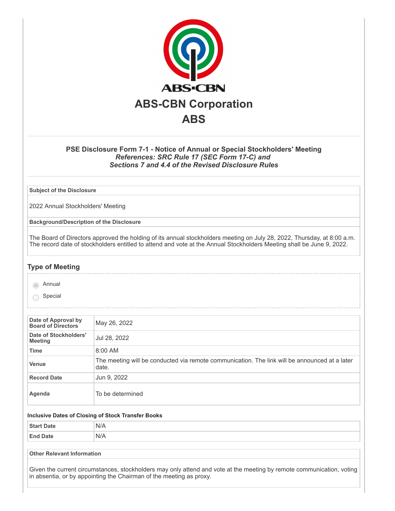

# **PSE Disclosure Form 7-1 - Notice of Annual or Special Stockholders' Meeting** *References: SRC Rule 17 (SEC Form 17-C) and Sections 7 and 4.4 of the Revised Disclosure Rules*

**Subject of the Disclosure**

2022 Annual Stockholders' Meeting

**Background/Description of the Disclosure**

The Board of Directors approved the holding of its annual stockholders meeting on July 28, 2022, Thursday, at 8:00 a.m. The record date of stockholders entitled to attend and vote at the Annual Stockholders Meeting shall be June 9, 2022.

#### **Type of Meeting**

annual

◯ Special

| Date of Approval by<br><b>Board of Directors</b> | May 26, 2022                                                                                           |
|--------------------------------------------------|--------------------------------------------------------------------------------------------------------|
| Date of Stockholders'<br><b>Meeting</b>          | Jul 28, 2022                                                                                           |
| <b>Time</b>                                      | 8:00 AM                                                                                                |
| <b>Venue</b>                                     | The meeting will be conducted via remote communication. The link will be announced at a later<br>date. |
| <b>Record Date</b>                               | Jun 9, 2022                                                                                            |
| Agenda                                           | To be determined                                                                                       |

#### **Inclusive Dates of Closing of Stock Transfer Books**

| $Q_{\text{full}}$ | N/A |
|-------------------|-----|
| <b>End Date</b>   | N/A |

**Other Relevant Information**

Given the current circumstances, stockholders may only attend and vote at the meeting by remote communication, voting in absentia, or by appointing the Chairman of the meeting as proxy.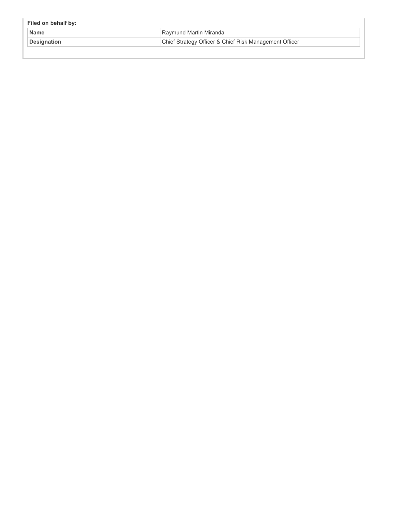| Filed on behalf by: |                                                        |
|---------------------|--------------------------------------------------------|
| <b>Name</b>         | Raymund Martin Miranda                                 |
| <b>Designation</b>  | Chief Strategy Officer & Chief Risk Management Officer |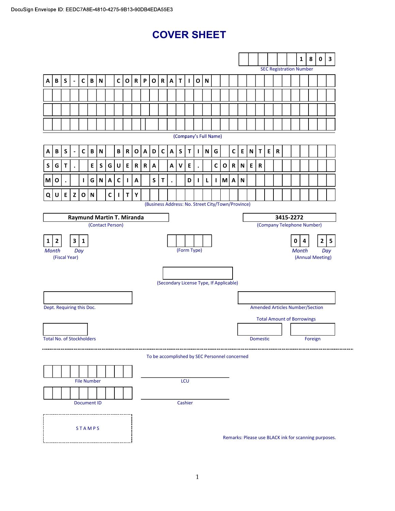# COVER SHEET

|                           |                                  |             |                |              |                           |                           |                  |              |              |              |              |              |              |                           |              |              |              |                                                   |              |              |              |                                   |                                |                 |   |                                        |  |   | $\mathbf{1}$ | ${\bf 8}$ | $\mathbf 0$                                          | $\mathbf{3}$            |  |
|---------------------------|----------------------------------|-------------|----------------|--------------|---------------------------|---------------------------|------------------|--------------|--------------|--------------|--------------|--------------|--------------|---------------------------|--------------|--------------|--------------|---------------------------------------------------|--------------|--------------|--------------|-----------------------------------|--------------------------------|-----------------|---|----------------------------------------|--|---|--------------|-----------|------------------------------------------------------|-------------------------|--|
|                           |                                  |             |                |              |                           |                           |                  |              |              |              |              |              |              |                           |              |              |              |                                                   |              |              |              |                                   | <b>SEC Registration Number</b> |                 |   |                                        |  |   |              |           |                                                      |                         |  |
| Α                         | B                                | S           | $\blacksquare$ | $\mathsf{C}$ | $\, {\bf B} \,$           | $\boldsymbol{\mathsf{N}}$ |                  | $\mathsf{C}$ | $\mathbf{o}$ | ${\bf R}$    | P            | $\mathbf{o}$ | R            | A                         | $\mathsf{T}$ | $\mathbf{I}$ | $\mathbf O$  | $\mathbf N$                                       |              |              |              |                                   |                                |                 |   |                                        |  |   |              |           |                                                      |                         |  |
|                           |                                  |             |                |              |                           |                           |                  |              |              |              |              |              |              |                           |              |              |              |                                                   |              |              |              |                                   |                                |                 |   |                                        |  |   |              |           |                                                      |                         |  |
|                           |                                  |             |                |              |                           |                           |                  |              |              |              |              |              |              |                           |              |              |              |                                                   |              |              |              |                                   |                                |                 |   |                                        |  |   |              |           |                                                      |                         |  |
|                           |                                  |             |                |              |                           |                           |                  |              |              |              |              |              |              |                           |              |              |              |                                                   |              |              |              |                                   |                                |                 |   |                                        |  |   |              |           |                                                      |                         |  |
|                           |                                  |             |                |              |                           |                           |                  |              |              |              |              |              |              |                           |              |              |              | (Company's Full Name)                             |              |              |              |                                   |                                |                 |   |                                        |  |   |              |           |                                                      |                         |  |
| А                         | B                                | $\mathsf S$ | $\blacksquare$ | $\mathbf{C}$ | $\, {\bf B} \,$           | $\mathsf N$               |                  | B            | $\mathbf R$  | $\mathbf{o}$ | $\mathsf{A}$ | D            | $\mathsf{C}$ | $\boldsymbol{\mathsf{A}}$ | ${\sf S}$    | $\mathsf T$  | J.           | N                                                 | G            |              | $\mathsf{C}$ | E                                 | $\boldsymbol{\mathsf{N}}$      | T               | E | ${\sf R}$                              |  |   |              |           |                                                      |                         |  |
| S                         | G                                | T.          |                |              | E                         | ${\sf S}$                 | G                | U            | E            | R            | R            | Α            |              | Α                         | V            | E            |              |                                                   | C            | $\mathbf{o}$ | $\mathsf{R}$ | N                                 | E                              | ${\sf R}$       |   |                                        |  |   |              |           |                                                      |                         |  |
| M                         | O                                | $\bullet$   |                | $\mathbf{I}$ | G                         | ${\sf N}$                 | A                | C            | $\mathbf{I}$ | A            |              | S            | T            | $\bullet$                 |              | D            | $\mathbf{I}$ | L                                                 | $\mathbf{I}$ | M            | A            | N                                 |                                |                 |   |                                        |  |   |              |           |                                                      |                         |  |
| Q                         | U                                | E           | $\mathsf{z}$   | $\mathbf{o}$ | $\boldsymbol{\mathsf{N}}$ |                           | $\mathbf c$      | J.           | $\mathsf T$  | Υ            |              |              |              |                           |              |              |              |                                                   |              |              |              |                                   |                                |                 |   |                                        |  |   |              |           |                                                      |                         |  |
|                           |                                  |             |                |              |                           |                           |                  |              |              |              |              |              |              |                           |              |              |              | (Business Address: No. Street City/Town/Province) |              |              |              |                                   |                                |                 |   |                                        |  |   |              |           |                                                      |                         |  |
| Raymund Martin T. Miranda |                                  |             |                |              |                           |                           |                  |              |              |              |              |              |              |                           |              |              |              |                                                   | 3415-2272    |              |              |                                   |                                |                 |   |                                        |  |   |              |           |                                                      |                         |  |
|                           |                                  |             |                |              |                           |                           | (Contact Person) |              |              |              |              |              |              |                           |              |              |              |                                                   |              |              |              |                                   |                                |                 |   | (Company Telephone Number)             |  |   |              |           |                                                      |                         |  |
| 1                         | $\mathbf{2}$                     |             | $\mathbf{3}$   | $\mathbf{1}$ |                           |                           |                  |              |              |              |              |              |              |                           |              |              |              |                                                   |              |              |              |                                   |                                |                 |   |                                        |  | 0 | 4            |           | $\mathbf{2}$                                         | $\overline{\mathbf{5}}$ |  |
| <b>Month</b>              | (Fiscal Year)                    |             | Day            |              |                           |                           |                  |              |              |              |              |              |              |                           |              | (Form Type)  |              |                                                   |              |              |              |                                   |                                |                 |   |                                        |  |   | <b>Month</b> |           | (Annual Meeting)                                     | Day                     |  |
|                           |                                  |             |                |              |                           |                           |                  |              |              |              |              |              |              |                           |              |              |              |                                                   |              |              |              |                                   |                                |                 |   |                                        |  |   |              |           |                                                      |                         |  |
|                           |                                  |             |                |              |                           |                           |                  |              |              |              |              |              |              |                           |              |              |              | (Secondary License Type, If Applicable)           |              |              |              |                                   |                                |                 |   |                                        |  |   |              |           |                                                      |                         |  |
|                           |                                  |             |                |              |                           |                           |                  |              |              |              |              |              |              |                           |              |              |              |                                                   |              |              |              |                                   |                                |                 |   |                                        |  |   |              |           |                                                      |                         |  |
|                           | Dept. Requiring this Doc.        |             |                |              |                           |                           |                  |              |              |              |              |              |              |                           |              |              |              |                                                   |              |              |              |                                   |                                |                 |   | <b>Amended Articles Number/Section</b> |  |   |              |           |                                                      |                         |  |
|                           |                                  |             |                |              |                           |                           |                  |              |              |              |              |              |              |                           |              |              |              |                                                   |              |              |              | <b>Total Amount of Borrowings</b> |                                |                 |   |                                        |  |   |              |           |                                                      |                         |  |
|                           |                                  |             |                |              |                           |                           |                  |              |              |              |              |              |              |                           |              |              |              |                                                   |              |              |              |                                   |                                |                 |   |                                        |  |   |              |           |                                                      |                         |  |
|                           | <b>Total No. of Stockholders</b> |             |                |              |                           |                           |                  |              |              |              |              |              |              |                           |              |              |              |                                                   |              |              |              |                                   |                                | <b>Domestic</b> |   |                                        |  |   |              | Foreign   |                                                      |                         |  |
|                           |                                  |             |                |              |                           |                           |                  |              |              |              |              |              |              |                           |              |              |              | To be accomplished by SEC Personnel concerned     |              |              |              |                                   |                                |                 |   |                                        |  |   |              |           |                                                      |                         |  |
|                           |                                  |             |                |              |                           |                           |                  |              |              |              |              |              |              |                           |              |              |              |                                                   |              |              |              |                                   |                                |                 |   |                                        |  |   |              |           |                                                      |                         |  |
|                           |                                  |             |                |              | <b>File Number</b>        |                           |                  |              |              |              |              |              |              |                           |              | LCU          |              |                                                   |              |              |              |                                   |                                |                 |   |                                        |  |   |              |           |                                                      |                         |  |
|                           |                                  |             |                |              |                           |                           |                  |              |              |              |              |              |              |                           |              |              |              |                                                   |              |              |              |                                   |                                |                 |   |                                        |  |   |              |           |                                                      |                         |  |
|                           |                                  |             |                |              | <b>Document ID</b>        |                           |                  |              |              |              |              |              |              |                           |              | Cashier      |              |                                                   |              |              |              |                                   |                                |                 |   |                                        |  |   |              |           |                                                      |                         |  |
|                           |                                  |             |                |              |                           |                           |                  |              |              |              |              |              |              |                           |              |              |              |                                                   |              |              |              |                                   |                                |                 |   |                                        |  |   |              |           |                                                      |                         |  |
|                           |                                  |             |                |              | <b>STAMPS</b>             |                           |                  |              |              |              |              |              |              |                           |              |              |              |                                                   |              |              |              |                                   |                                |                 |   |                                        |  |   |              |           |                                                      |                         |  |
|                           |                                  |             |                |              |                           |                           |                  |              |              |              |              |              |              |                           |              |              |              |                                                   |              |              |              |                                   |                                |                 |   |                                        |  |   |              |           | Remarks: Please use BLACK ink for scanning purposes. |                         |  |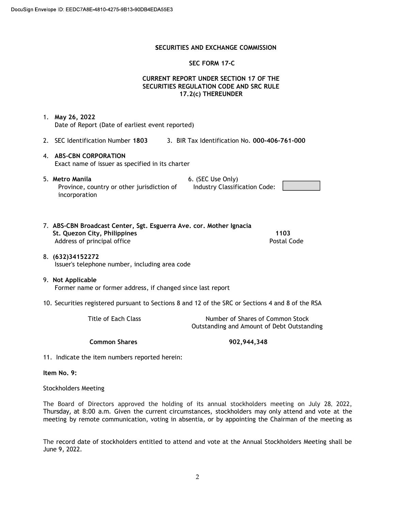#### **S**ECURITIES AND EXCHANGE COMMISSION

#### SEC FORM 17-C

## CURRENT REPORT UNDER SECTION 17 OF THE SECURITIES REGULATION CODE AND SRC RULE 17.2(c) THEREUNDER

Industry Classification Code:

1. May 26, 2022 Date of Report (Date of earliest event reported)

- 2. SEC Identification Number 1803 3. BIR Tax Identification No. 000-406-761-000
- 4. ABS-CBN CORPORATION Exact name of issuer as specified in its charter
- 5. Metro Manila 6. (SEC Use Only) Province, country or other jurisdiction of incorporation
- 7. ABS-CBN Broadcast Center, Sgt. Esguerra Ave. cor. Mother Ignacia St. Quezon City, Philippines 1103 Address of principal office **Postal Code** Postal Code
- 8. (632)34152272 Issuer's telephone number, including area code

#### 9. Not Applicable Former name or former address, if changed since last report

10. Securities registered pursuant to Sections 8 and 12 of the SRC or Sections 4 and 8 of the RSA

Title of Each Class Number of Shares of Common Stock Outstanding and Amount of Debt Outstanding

Common Shares 902,944,348

11. Indicate the item numbers reported herein:

Item No. 9:

Stockholders Meeting

The Board of Directors approved the holding of its annual stockholders meeting on July 28, 2022, Thursday, at 8:00 a.m. Given the current circumstances, stockholders may only attend and vote at the meeting by remote communication, voting in absentia, or by appointing the Chairman of the meeting as

The record date of stockholders entitled to attend and vote at the Annual Stockholders Meeting shall be June 9, 2022.